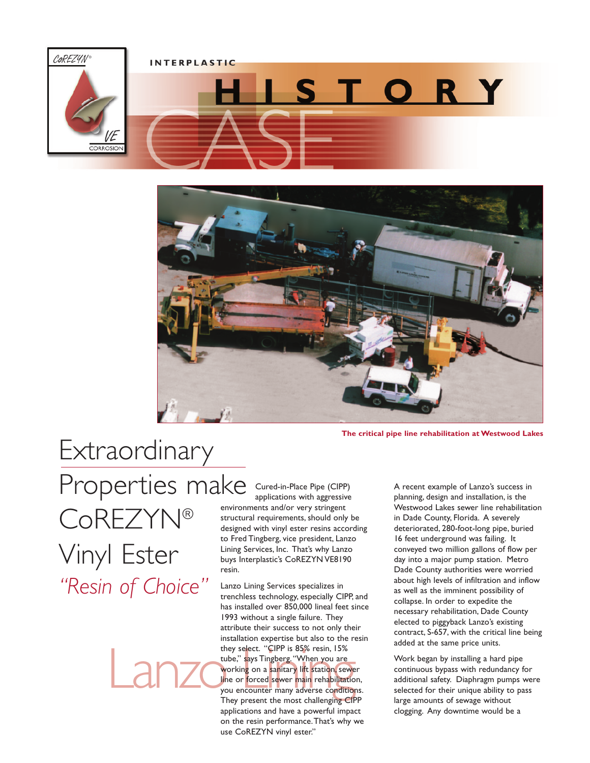





**The critical pipe line rehabilitation at Westwood Lakes**

Extraordinary Properties make CoREZYN® Vinyl Ester *"Resin of Choice"*

Cured-in-Place Pipe (CIPP) applications with aggressive environments and/or very stringent structural requirements, should only be designed with vinyl ester resins according to Fred Tingberg, vice president, Lanzo Lining Services, Inc. That's why Lanzo buys Interplastic's CoREZYN VE8190 resin.

they select. "CIPP is 85% resin, 15%<br>tube," says Tingberg. "When you are<br>working on a sanitary lift station, sewe<br>line or forced sewer main rehabilitation<br>you encounter many adverse condition<br>They present the most challeng Lanzo Lining Services specializes in trenchless technology, especially CIPP, and has installed over 850,000 lineal feet since 1993 without a single failure. They attribute their success to not only their installation expertise but also to the resin they select. "CIPP is 85% resin, 15% tube," says Tingberg. "When you are working on a sanitary lift station, sewer line or forced sewer main rehabilitation, you encounter many adverse conditions. They present the most challenging CIPP applications and have a powerful impact on the resin performance.That's why we use CoREZYN vinyl ester."

A recent example of Lanzo's success in planning, design and installation, is the Westwood Lakes sewer line rehabilitation in Dade County, Florida. A severely deteriorated, 280-foot-long pipe, buried 16 feet underground was failing. It conveyed two million gallons of flow per day into a major pump station. Metro Dade County authorities were worried about high levels of infiltration and inflow as well as the imminent possibility of collapse. In order to expedite the necessary rehabilitation, Dade County elected to piggyback Lanzo's existing contract, S-657, with the critical line being added at the same price units.

Work began by installing a hard pipe continuous bypass with redundancy for additional safety. Diaphragm pumps were selected for their unique ability to pass large amounts of sewage without clogging. Any downtime would be a